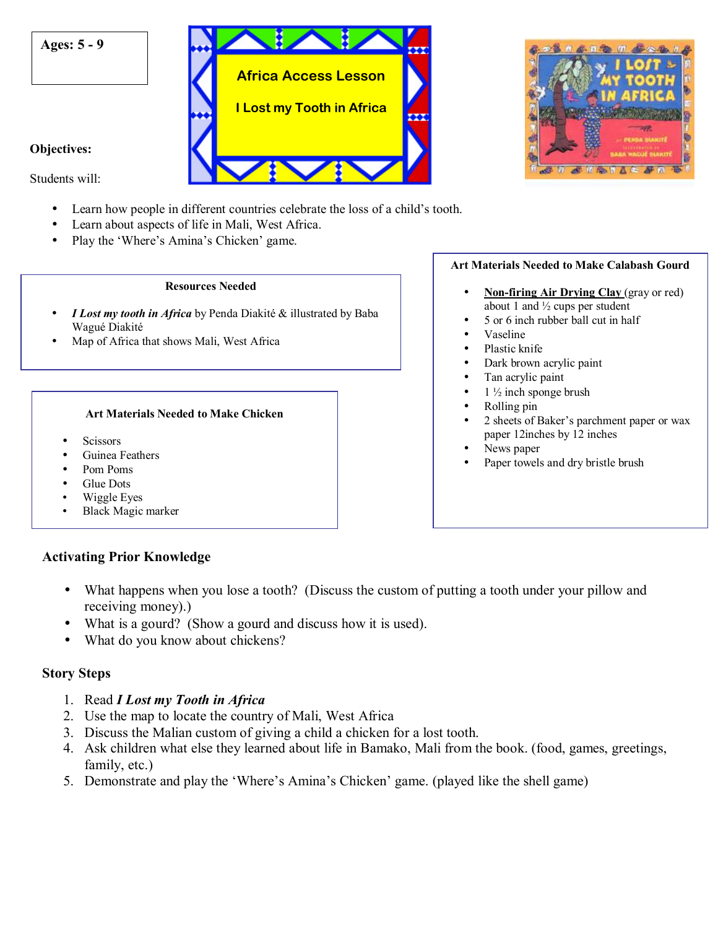### **Ages: 5 - 9**





### **Objectives:**

Students will:

- Learn how people in different countries celebrate the loss of a child's tooth.
- Learn about aspects of life in Mali, West Africa.
- Play the 'Where's Amina's Chicken' game.

#### **Resources Needed**

- I Lost my tooth in Africa by Penda Diakité & illustrated by Baba Wagué Diakité
- Map of Africa that shows Mali, West Africa

### **Art Materials Needed to Make Chicken**

- **Scissors**
- Guinea Feathers
- Pom Poms
- Glue Dots
- Wiggle Eyes
- Black Magic marker

### **Activating Prior Knowledge**

- What happens when you lose a tooth? (Discuss the custom of putting a tooth under your pillow and receiving money).)
- What is a gourd? (Show a gourd and discuss how it is used).
- What do you know about chickens?

## **Story Steps**

- 1. Read *I Lost my Tooth in Africa*
- 2. Use the map to locate the country of Mali, West Africa
- 3. Discuss the Malian custom of giving a child a chicken for a lost tooth.
- 4. Ask children what else they learned about life in Bamako, Mali from the book. (food, games, greetings, family, etc.)
- 5. Demonstrate and play the 'Where's Amina's Chicken' game. (played like the shell game)

### **Art Materials Needed to Make Calabash Gourd**

- **Non-firing Air Drying Clay** (gray or red) about 1 and  $\frac{1}{2}$  cups per student
- 5 or 6 inch rubber ball cut in half
- Vaseline
- Plastic knife
- Dark brown acrylic paint
- Tan acrylic paint
- $1\frac{1}{2}$  inch sponge brush
- Rolling pin
- 2 sheets of Baker's parchment paper or wax paper 12inches by 12 inches
- News paper
- Paper towels and dry bristle brush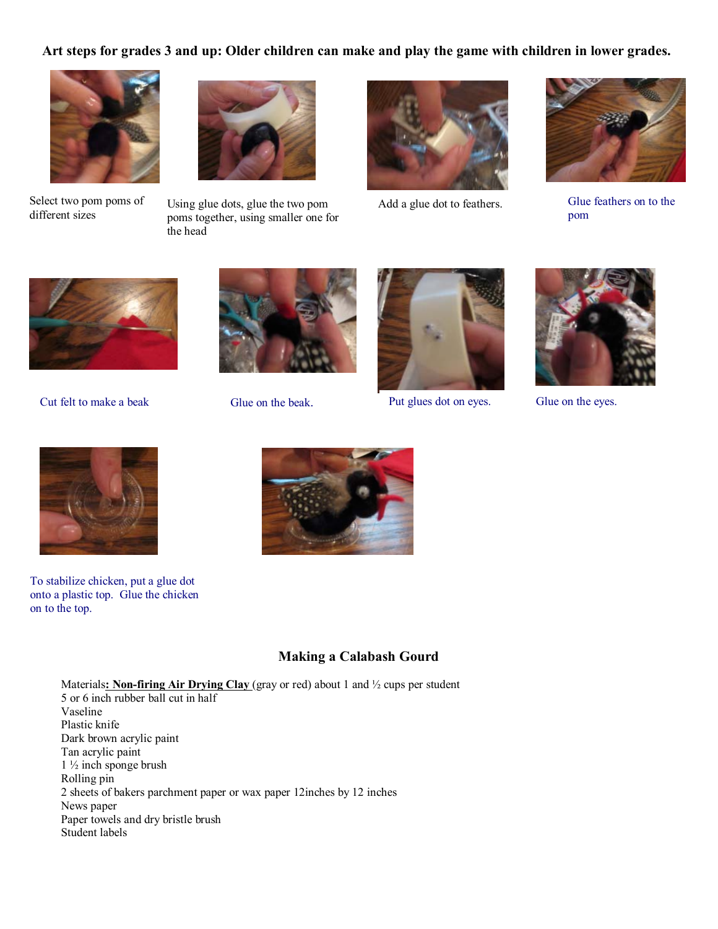# **Art steps for grades 3 and up: Older children can make and play the game with children in lower grades.**



Select two pom poms of different sizes



Using glue dots, glue the two pom Add a glue dot to feathers. poms together, using smaller one for the head





Glue feathers on to the pom



Cut felt to make a beak Glue on the beak. Put glues dot on eyes. Glue on the eyes.



Glue on the beak.







To stabilize chicken, put a glue dot onto a plastic top. Glue the chicken on to the top.



### **Making a Calabash Gourd**

Materials**: Non-firing Air Drying Clay** (gray or red) about 1 and ½ cups per student 5 or 6 inch rubber ball cut in half Vaseline Plastic knife Dark brown acrylic paint Tan acrylic paint 1 ½ inch sponge brush Rolling pin 2 sheets of bakers parchment paper or wax paper 12inches by 12 inches News paper Paper towels and dry bristle brush Student labels